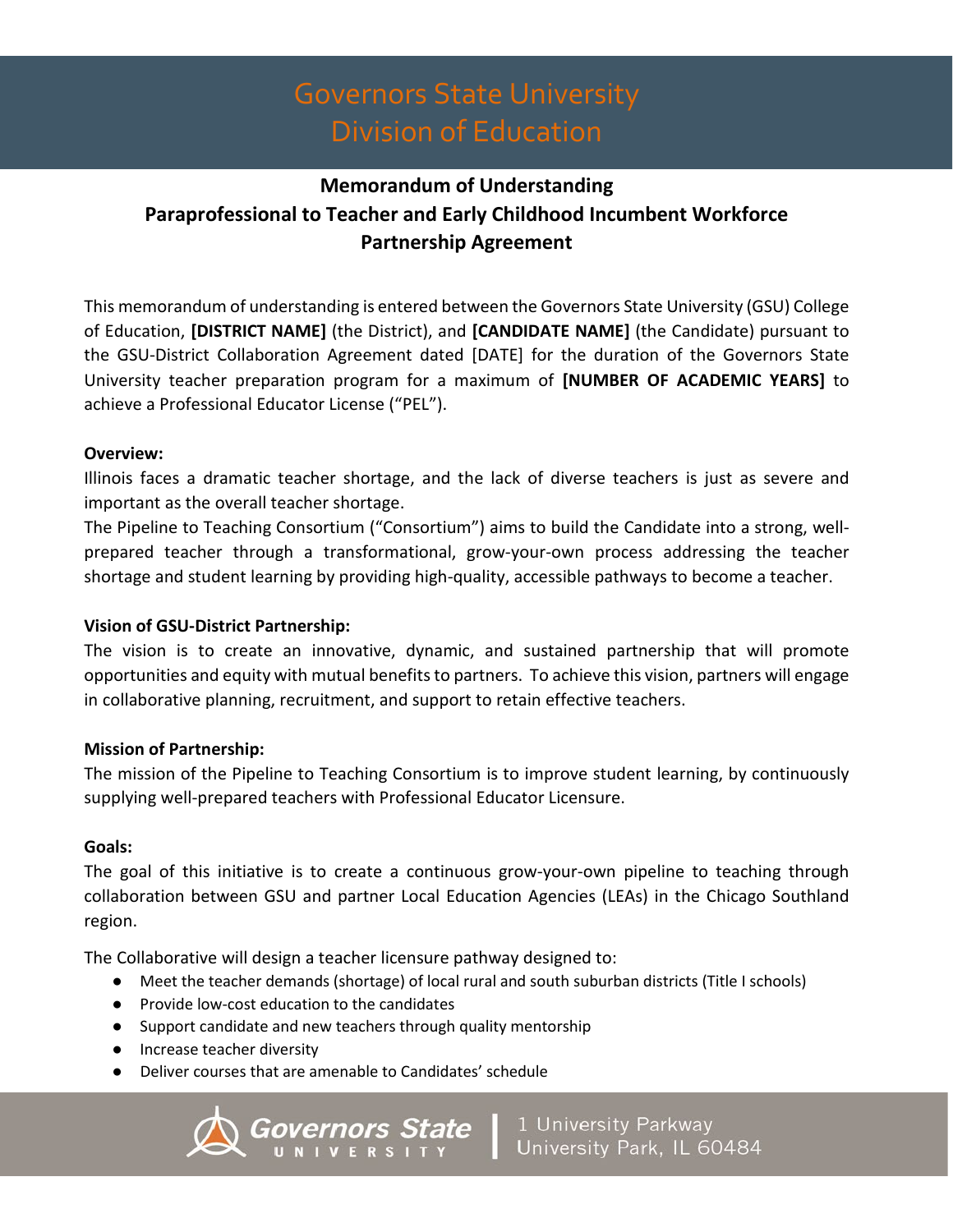## **Memorandum of Understanding Paraprofessional to Teacher and Early Childhood Incumbent Workforce Partnership Agreement**

This memorandum of understanding is entered between the Governors State University (GSU) College of Education, **[DISTRICT NAME]** (the District), and **[CANDIDATE NAME]** (the Candidate) pursuant to the GSU-District Collaboration Agreement dated [DATE] for the duration of the Governors State University teacher preparation program for a maximum of **[NUMBER OF ACADEMIC YEARS]** to achieve a Professional Educator License ("PEL").

### **Overview:**

Illinois faces a dramatic teacher shortage, and the lack of diverse teachers is just as severe and important as the overall teacher shortage.

The Pipeline to Teaching Consortium ("Consortium") aims to build the Candidate into a strong, wellprepared teacher through a transformational, grow-your-own process addressing the teacher shortage and student learning by providing high-quality, accessible pathways to become a teacher.

### **Vision of GSU-District Partnership:**

The vision is to create an innovative, dynamic, and sustained partnership that will promote opportunities and equity with mutual benefits to partners. To achieve this vision, partners will engage in collaborative planning, recruitment, and support to retain effective teachers.

### **Mission of Partnership:**

The mission of the Pipeline to Teaching Consortium is to improve student learning, by continuously supplying well-prepared teachers with Professional Educator Licensure.

#### **Goals:**

The goal of this initiative is to create a continuous grow-your-own pipeline to teaching through collaboration between GSU and partner Local Education Agencies (LEAs) in the Chicago Southland region.

The Collaborative will design a teacher licensure pathway designed to:

- Meet the teacher demands (shortage) of local rural and south suburban districts (Title I schools)
- Provide low-cost education to the candidates
- Support candidate and new teachers through quality mentorship
- Increase teacher diversity
- Deliver courses that are amenable to Candidates' schedule

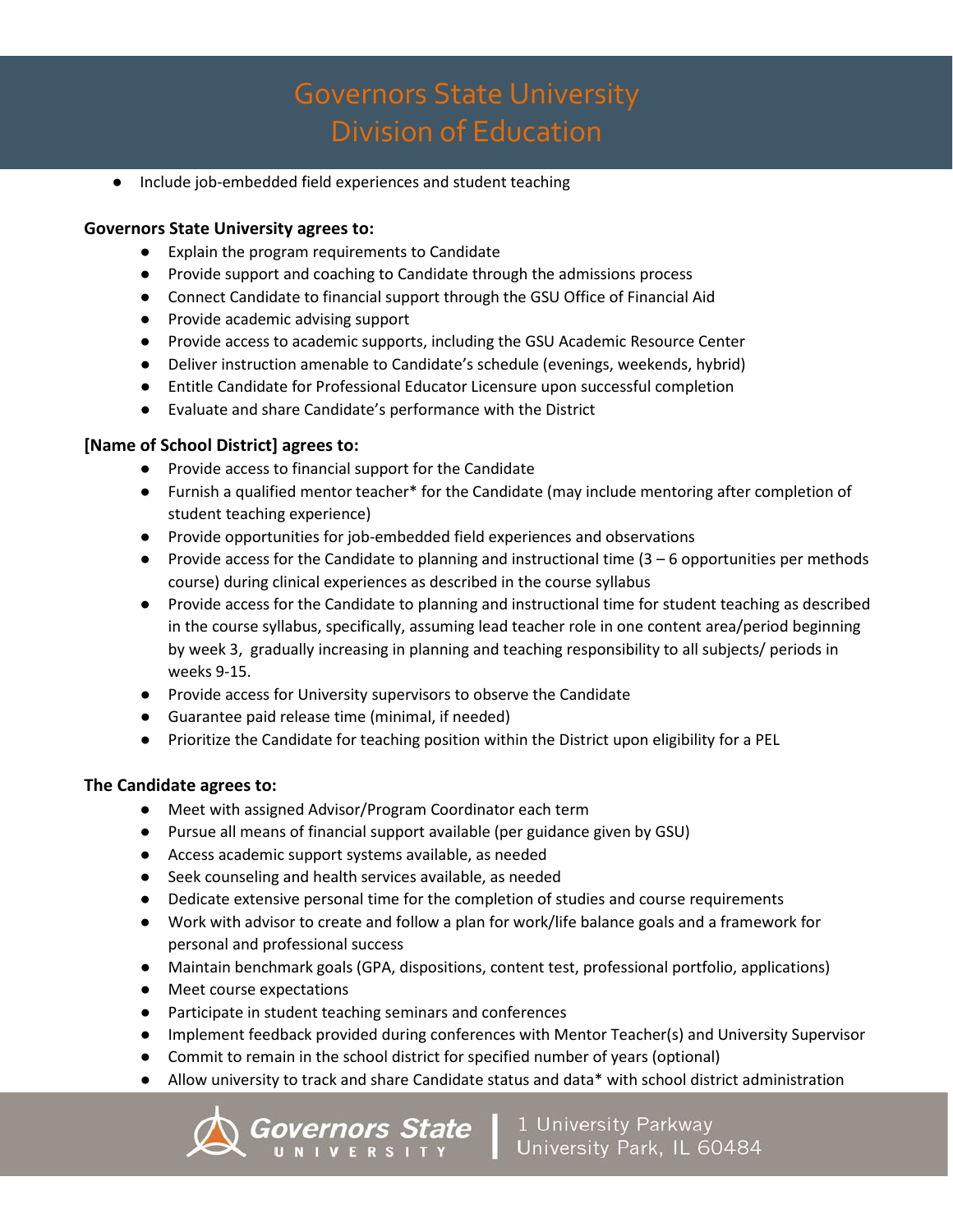● Include job-embedded field experiences and student teaching

#### **Governors State University agrees to:**

- Explain the program requirements to Candidate
- Provide support and coaching to Candidate through the admissions process
- Connect Candidate to financial support through the GSU Office of Financial Aid
- Provide academic advising support
- Provide access to academic supports, including the GSU Academic Resource Center
- Deliver instruction amenable to Candidate's schedule (evenings, weekends, hybrid)
- Entitle Candidate for Professional Educator Licensure upon successful completion
- Evaluate and share Candidate's performance with the District

#### **[Name of School District] agrees to:**

- Provide access to financial support for the Candidate
- Furnish a qualified mentor teacher\* for the Candidate (may include mentoring after completion of student teaching experience)
- Provide opportunities for job-embedded field experiences and observations
- Provide access for the Candidate to planning and instructional time (3 6 opportunities per methods course) during clinical experiences as described in the course syllabus
- Provide access for the Candidate to planning and instructional time for student teaching as described in the course syllabus, specifically, assuming lead teacher role in one content area/period beginning by week 3, gradually increasing in planning and teaching responsibility to all subjects/ periods in weeks 9-15.
- Provide access for University supervisors to observe the Candidate
- Guarantee paid release time (minimal, if needed)
- Prioritize the Candidate for teaching position within the District upon eligibility for a PEL

#### **The Candidate agrees to:**

- Meet with assigned Advisor/Program Coordinator each term
- Pursue all means of financial support available (per guidance given by GSU)
- Access academic support systems available, as needed
- Seek counseling and health services available, as needed
- Dedicate extensive personal time for the completion of studies and course requirements
- Work with advisor to create and follow a plan for work/life balance goals and a framework for personal and professional success
- Maintain benchmark goals (GPA, dispositions, content test, professional portfolio, applications)
- Meet course expectations
- Participate in student teaching seminars and conferences
- Implement feedback provided during conferences with Mentor Teacher(s) and University Supervisor
- Commit to remain in the school district for specified number of years (optional)
- Allow university to track and share Candidate status and data\* with school district administration

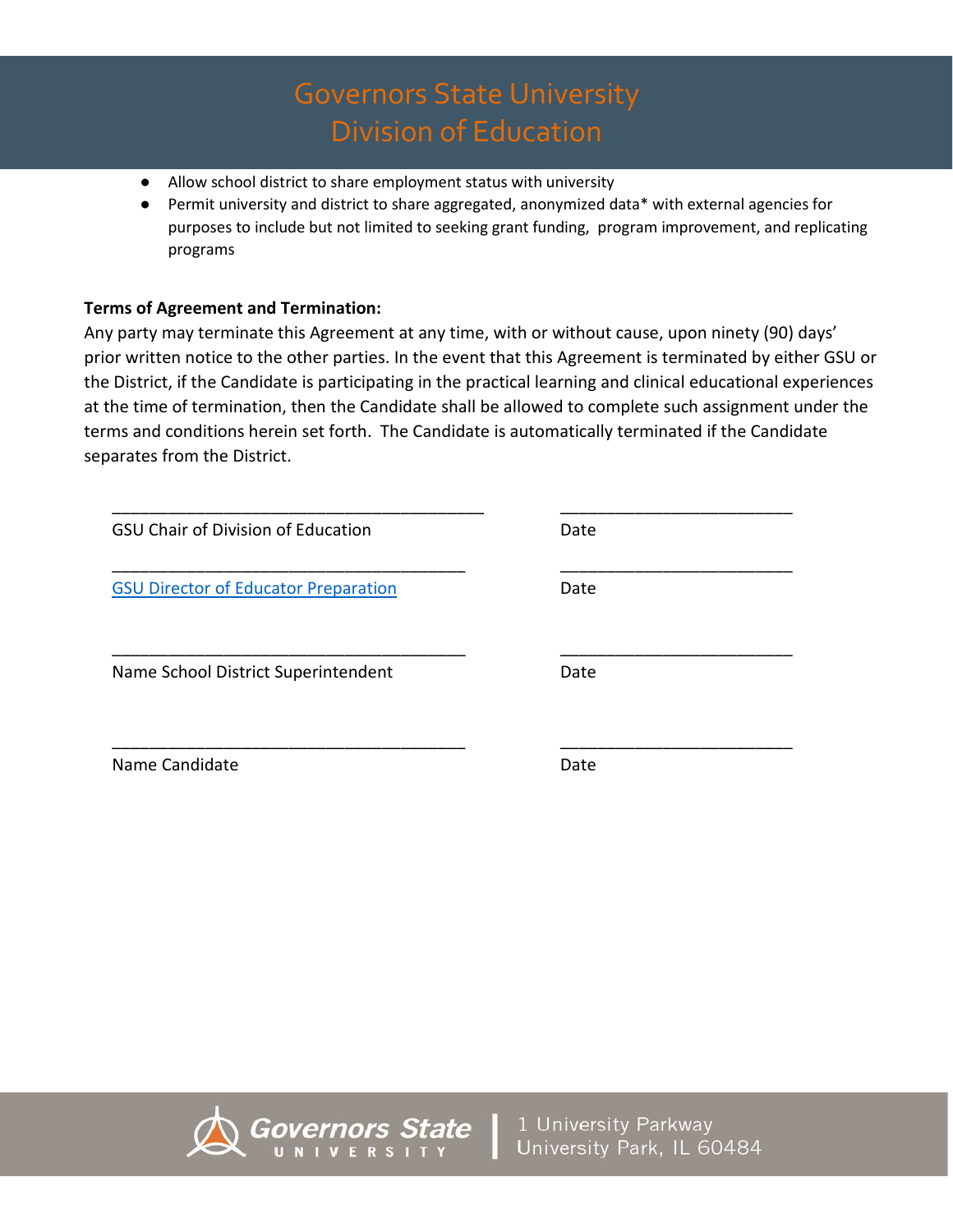- Allow school district to share employment status with university
- Permit university and district to share aggregated, anonymized data\* with external agencies for purposes to include but not limited to seeking grant funding, program improvement, and replicating programs

### **Terms of Agreement and Termination:**

Any party may terminate this Agreement at any time, with or without cause, upon ninety (90) days' prior written notice to the other parties. In the event that this Agreement is terminated by either GSU or the District, if the Candidate is participating in the practical learning and clinical educational experiences at the time of termination, then the Candidate shall be allowed to complete such assignment under the terms and conditions herein set forth. The Candidate is automatically terminated if the Candidate separates from the District.

| <b>GSU Chair of Division of Education</b>   | Date |  |
|---------------------------------------------|------|--|
| <b>GSU Director of Educator Preparation</b> | Date |  |
| Name School District Superintendent         | Date |  |
| Name Candidate                              | Date |  |